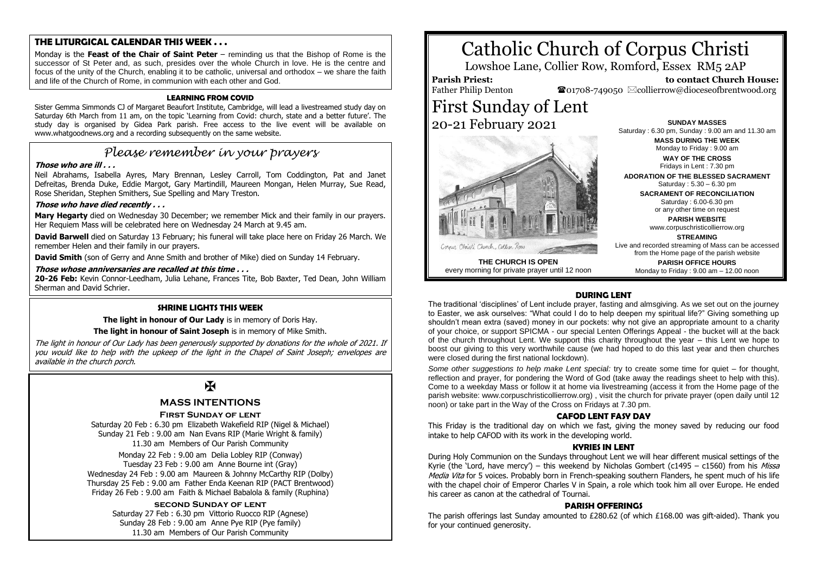# **THE LITURGICAL CALENDAR THIS WEEK . . .**

Monday is the **Feast of the Chair of Saint Peter** – reminding us that the Bishop of Rome is the successor of St Peter and, as such, presides over the whole Church in love. He is the centre and focus of the unity of the Church, enabling it to be catholic, universal and orthodox – we share the faith and life of the Church of Rome, in communion with each other and God.

#### **LEARNING FROM COVID**

Sister Gemma Simmonds CJ of Margaret Beaufort Institute, Cambridge, will lead a livestreamed study day on Saturday 6th March from 11 am, on the topic 'Learning from Covid: church, state and a better future'. The study day is organised by Gidea Park parish. Free access to the live event will be available on www.whatgoodnews.org and a recording subsequently on the same website.

# *Please remember in your prayers*

#### **Those who are ill . . .**

Neil Abrahams, Isabella Ayres, Mary Brennan, Lesley Carroll, Tom Coddington, Pat and Janet Defreitas, Brenda Duke, Eddie Margot, Gary Martindill, Maureen Mongan, Helen Murray, Sue Read, Rose Sheridan, Stephen Smithers, Sue Spelling and Mary Treston.

#### **Those who have died recently . . .**

**Mary Hegarty** died on Wednesday 30 December; we remember Mick and their family in our prayers. Her Requiem Mass will be celebrated here on Wednesday 24 March at 9.45 am.

**David Barwell** died on Saturday 13 February; his funeral will take place here on Friday 26 March. We remember Helen and their family in our prayers.

**David Smith** (son of Gerry and Anne Smith and brother of Mike) died on Sunday 14 February.

#### **Those whose anniversaries are recalled at this time . . .**

**20-26 Feb:** Kevin Connor-Leedham, Julia Lehane, Frances Tite, Bob Baxter, Ted Dean, John William Sherman and David Schrier.

#### **SHRINE LIGHTS THIS WEEK**

**The light in honour of Our Lady** is in memory of Doris Hay.

#### **The light in honour of Saint Joseph** is in memory of Mike Smith.

The light in honour of Our Lady has been generously supported by donations for the whole of 2021. If you would like to help with the upkeep of the light in the Chapel of Saint Joseph; envelopes are available in the church porch.

# $\overline{M}$

#### **MASS INTENTIONS**

#### **First Sunday of lent**

Saturday 20 Feb : 6.30 pm Elizabeth Wakefield RIP (Nigel & Michael) Sunday 21 Feb : 9.00 am Nan Evans RIP (Marie Wright & family) 11.30 am Members of Our Parish Community

Monday 22 Feb : 9.00 am Delia Lobley RIP (Conway) Tuesday 23 Feb : 9.00 am Anne Bourne int (Gray) Wednesday 24 Feb : 9.00 am Maureen & Johnny McCarthy RIP (Dolby) Thursday 25 Feb : 9.00 am Father Enda Keenan RIP (PACT Brentwood) Friday 26 Feb : 9.00 am Faith & Michael Babalola & family (Ruphina)

#### **second Sunday of lent**

Saturday 27 Feb : 6.30 pm Vittorio Ruocco RIP (Agnese) Sunday 28 Feb : 9.00 am Anne Pye RIP (Pye family) 11.30 am Members of Our Parish Community

# Catholic Church of Corpus Christi

Lowshoe Lane, Collier Row, Romford, Essex RM5 2AP

# **Parish Priest:**

Father Philip Denton

First Sunday of Lent 20-21 February 2021



**THE CHURCH IS OPEN** every morning for private prayer until 12 noon

**SUNDAY MASSES** Saturday : 6.30 pm, Sunday : 9.00 am and 11.30 am **MASS DURING THE WEEK** Monday to Friday : 9.00 am **WAY OF THE CROSS**

 $\bullet$ 01708-749050  $\boxtimes$ collierrow@dioceseofbrentwood.org

 **to contact Church House:**

Fridays in Lent : 7.30 pm **ADORATION OF THE BLESSED SACRAMENT**

Saturday : 5.30 – 6.30 pm

**SACRAMENT OF RECONCILIATION** Saturday : 6.00-6.30 pm or any other time on request

> **PARISH WEBSITE** www.corpuschristicollierrow.org

> > **STREAMING**

Live and recorded streaming of Mass can be accessed from the Home page of the parish website

**PARISH OFFICE HOURS** Monday to Friday : 9.00 am – 12.00 noon

#### **DURING LENT**

The traditional 'disciplines' of Lent include prayer, fasting and almsgiving. As we set out on the journey to Easter, we ask ourselves: "What could I do to help deepen my spiritual life?" Giving something up shouldn't mean extra (saved) money in our pockets: why not give an appropriate amount to a charity of your choice, or support SPICMA - our special Lenten Offerings Appeal - the bucket will at the back of the church throughout Lent. We support this charity throughout the year – this Lent we hope to boost our giving to this very worthwhile cause (we had hoped to do this last year and then churches were closed during the first national lockdown).

*Some other suggestions to help make Lent special:* try to create some time for quiet – for thought, reflection and prayer, for pondering the Word of God (take away the readings sheet to help with this). Come to a weekday Mass or follow it at home via livestreaming (access it from the Home page of the parish website: www.corpuschristicollierrow.org) , visit the church for private prayer (open daily until 12 noon) or take part in the Way of the Cross on Fridays at 7.30 pm.

#### **CAFOD LENT FASY DAY**

This Friday is the traditional day on which we fast, giving the money saved by reducing our food intake to help CAFOD with its work in the developing world.

#### **KYRIES IN LENT**

During Holy Communion on the Sundays throughout Lent we will hear different musical settings of the Kyrie (the 'Lord, have mercy') – this weekend by Nicholas Gombert (c1495 – c1560) from his *Missa* Media Vita for 5 voices. Probably born in French-speaking southern Flanders, he spent much of his life with the chapel choir of Emperor Charles V in Spain, a role which took him all over Europe. He ended his career as canon at the cathedral of Tournai.

#### **PARISH OFFERINGS**

The parish offerings last Sunday amounted to £280.62 (of which £168.00 was gift-aided). Thank you for your continued generosity.